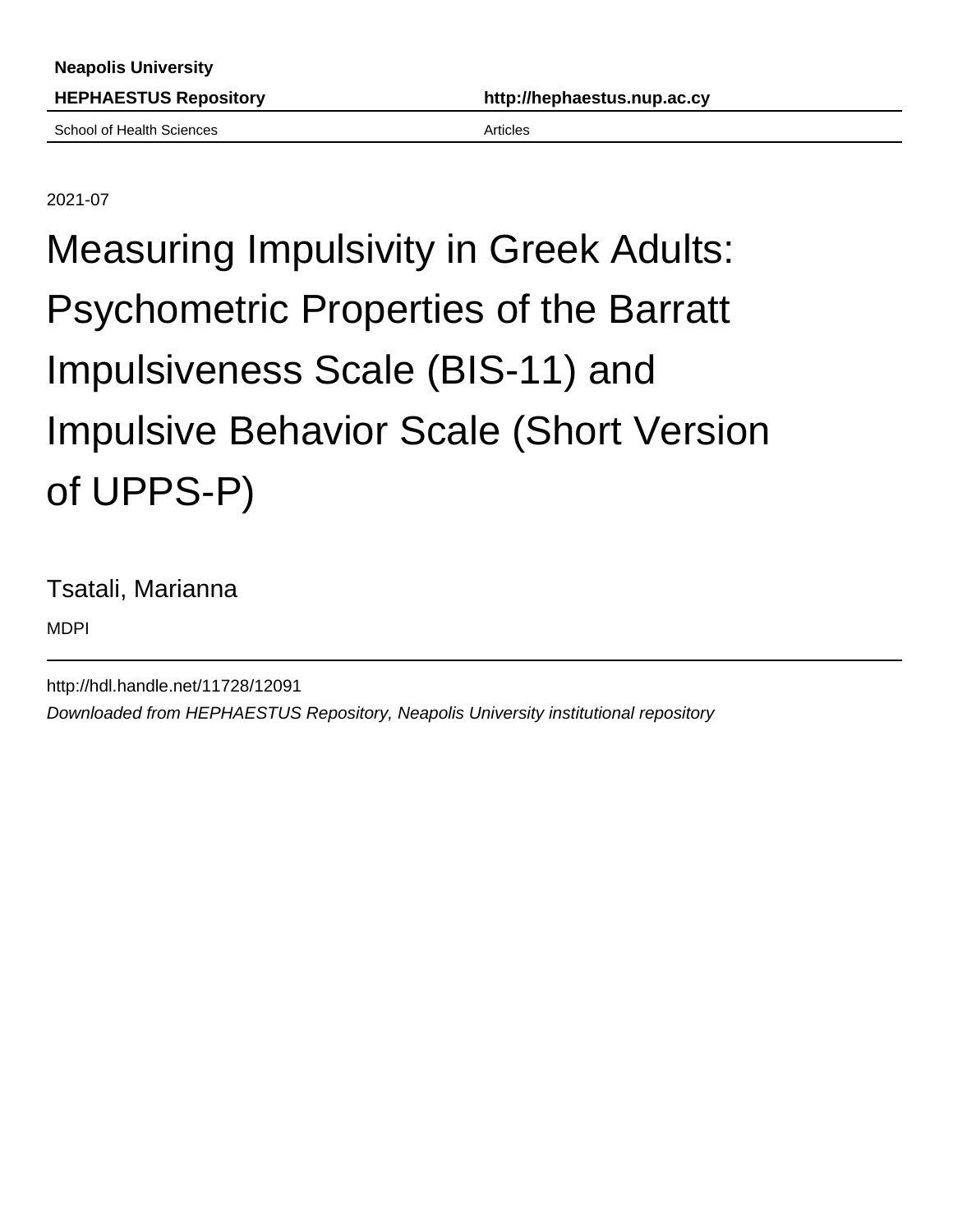School of Health Sciences **Articles** Articles

2021-07

# Measuring Impulsivity in Greek Adults: Psychometric Properties of the Barratt Impulsiveness Scale (BIS-11) and Impulsive Behavior Scale (Short Version of UPPS-P)

Tsatali, Marianna

MDPI

http://hdl.handle.net/11728/12091 Downloaded from HEPHAESTUS Repository, Neapolis University institutional repository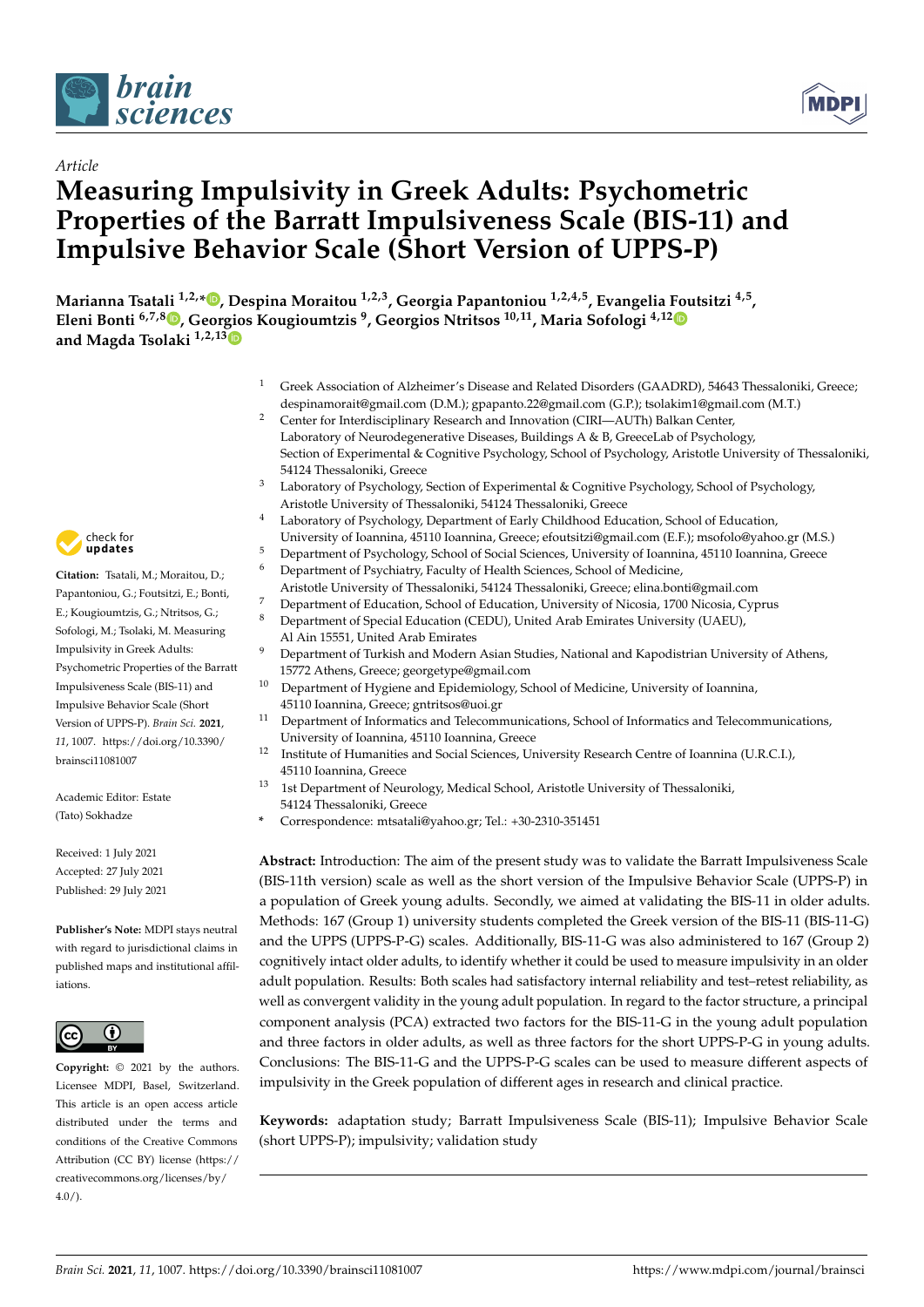



# *Article* **Measuring Impulsivity in Greek Adults: Psychometric Properties of the Barratt Impulsiveness Scale (BIS-11) and Impulsive Behavior Scale (Short Version of UPPS-P)**

**Marianna Tsatali 1,2,\* [,](https://orcid.org/0000-0002-5972-8616) Despina Moraitou 1,2,3, Georgia Papantoniou 1,2,4,5, Evangelia Foutsitzi 4,5 , Eleni Bonti 6,7,[8](https://orcid.org/0000-0002-4347-1828) , Geor[gio](https://orcid.org/0000-0002-2072-8010)s Kougioumtzis <sup>9</sup> , Georgios Ntritsos 10,11, Maria Sofologi 4,1[2](https://orcid.org/0000-0003-0380-2220) and Magda Tsolaki 1,2,13**

- <sup>1</sup> Greek Association of Alzheimer's Disease and Related Disorders (GAADRD), 54643 Thessaloniki, Greece; despinamorait@gmail.com (D.M.); gpapanto.22@gmail.com (G.P.); tsolakim1@gmail.com (M.T.)
- <sup>2</sup> Center for Interdisciplinary Research and Innovation (CIRI—AUTh) Balkan Center, Laboratory of Neurodegenerative Diseases, Buildings A & B, GreeceLab of Psychology, Section of Experimental & Cognitive Psychology, School of Psychology, Aristotle University of Thessaloniki, 54124 Thessaloniki, Greece
- <sup>3</sup> Laboratory of Psychology, Section of Experimental & Cognitive Psychology, School of Psychology, Aristotle University of Thessaloniki, 54124 Thessaloniki, Greece
- <sup>4</sup> Laboratory of Psychology, Department of Early Childhood Education, School of Education, University of Ioannina, 45110 Ioannina, Greece; efoutsitzi@gmail.com (E.F.); msofolo@yahoo.gr (M.S.)
- <sup>5</sup> Department of Psychology, School of Social Sciences, University of Ioannina, 45110 Ioannina, Greece
- <sup>6</sup> Department of Psychiatry, Faculty of Health Sciences, School of Medicine,
	- Aristotle University of Thessaloniki, 54124 Thessaloniki, Greece; elina.bonti@gmail.com
- <sup>7</sup> Department of Education, School of Education, University of Nicosia, 1700 Nicosia, Cyprus<br><sup>8</sup> Department of Special Education (CEDU), United Arab Emirates University (ULAEU)
- <sup>8</sup> Department of Special Education (CEDU), United Arab Emirates University (UAEU), Al Ain 15551, United Arab Emirates
- <sup>9</sup> Department of Turkish and Modern Asian Studies, National and Kapodistrian University of Athens, 15772 Athens, Greece; georgetype@gmail.com
- <sup>10</sup> Department of Hygiene and Epidemiology, School of Medicine, University of Ioannina, 45110 Ioannina, Greece; gntritsos@uoi.gr
- <sup>11</sup> Department of Informatics and Telecommunications, School of Informatics and Telecommunications, University of Ioannina, 45110 Ioannina, Greece
- <sup>12</sup> Institute of Humanities and Social Sciences, University Research Centre of Ioannina (U.R.C.I.), 45110 Ioannina, Greece
- <sup>13</sup> 1st Department of Neurology, Medical School, Aristotle University of Thessaloniki, 54124 Thessaloniki, Greece
- **\*** Correspondence: mtsatali@yahoo.gr; Tel.: +30-2310-351451

**Abstract:** Introduction: The aim of the present study was to validate the Barratt Impulsiveness Scale (BIS-11th version) scale as well as the short version of the Impulsive Behavior Scale (UPPS-P) in a population of Greek young adults. Secondly, we aimed at validating the BIS-11 in older adults. Methods: 167 (Group 1) university students completed the Greek version of the BIS-11 (BIS-11-G) and the UPPS (UPPS-P-G) scales. Additionally, BIS-11-G was also administered to 167 (Group 2) cognitively intact older adults, to identify whether it could be used to measure impulsivity in an older adult population. Results: Both scales had satisfactory internal reliability and test–retest reliability, as well as convergent validity in the young adult population. In regard to the factor structure, a principal component analysis (PCA) extracted two factors for the BIS-11-G in the young adult population and three factors in older adults, as well as three factors for the short UPPS-P-G in young adults. Conclusions: The BIS-11-G and the UPPS-P-G scales can be used to measure different aspects of impulsivity in the Greek population of different ages in research and clinical practice.

**Keywords:** adaptation study; Barratt Impulsiveness Scale (BIS-11); Impulsive Behavior Scale (short UPPS-P); impulsivity; validation study



**Citation:** Tsatali, M.; Moraitou, D.; Papantoniou, G.; Foutsitzi, E.; Bonti, E.; Kougioumtzis, G.; Ntritsos, G.; Sofologi, M.; Tsolaki, M. Measuring Impulsivity in Greek Adults: Psychometric Properties of the Barratt Impulsiveness Scale (BIS-11) and Impulsive Behavior Scale (Short Version of UPPS-P). *Brain Sci.* **2021**, *11*, 1007. [https://doi.org/10.3390/](https://doi.org/10.3390/brainsci11081007) [brainsci11081007](https://doi.org/10.3390/brainsci11081007)

Academic Editor: Estate (Tato) Sokhadze

Received: 1 July 2021 Accepted: 27 July 2021 Published: 29 July 2021

**Publisher's Note:** MDPI stays neutral with regard to jurisdictional claims in published maps and institutional affiliations.



**Copyright:** © 2021 by the authors. Licensee MDPI, Basel, Switzerland. This article is an open access article distributed under the terms and conditions of the Creative Commons Attribution (CC BY) license (https:/[/](https://creativecommons.org/licenses/by/4.0/) [creativecommons.org/licenses/by/](https://creativecommons.org/licenses/by/4.0/)  $4.0/$ ).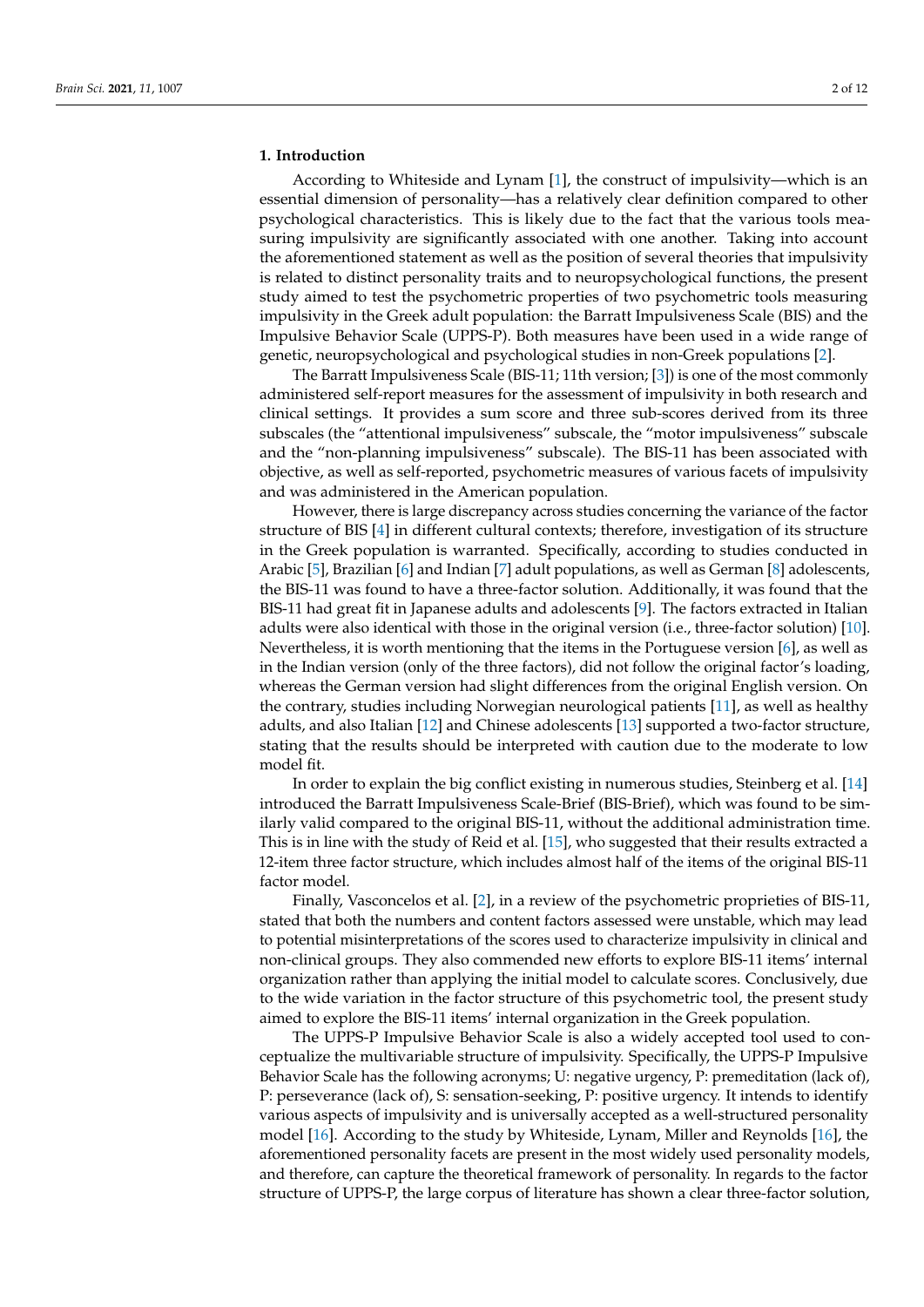#### **1. Introduction**

According to Whiteside and Lynam [1], the construct of impulsivity—which is an essential dimension of personality—has a relatively clear definition compared to other psychological characteristics. This is likely due to the fact that the various tools measuring impulsivity are significantly associated with one another. Taking into account the aforementioned statement as well as the position of several theories that impulsivity is related to distinct personality traits and to neuropsychological functions, the present study aimed to test the psychometric properties of two psychometric tools measuring impulsivity in the Greek adult population: the Barratt Impulsiveness Scale (BIS) and the Impulsive Behavior Scale (UPPS-P). Both measures have been used in a wide range of genetic, neuropsychological and psychological studies in non-Greek populations [2].

The Barratt Impulsiveness Scale (BIS-11; 11th version; [3]) is one of the most commonly administered self-report measures for the assessment of impulsivity in both research and clinical settings. It provides a sum score and three sub-scores derived from its three subscales (the "attentional impulsiveness" subscale, the "motor impulsiveness" subscale and the "non-planning impulsiveness" subscale). The BIS-11 has been associated with objective, as well as self-reported, psychometric measures of various facets of impulsivity and was administered in the American population.

However, there is large discrepancy across studies concerning the variance of the factor structure of BIS [4] in different cultural contexts; therefore, investigation of its structure in the Greek population is warranted. Specifically, according to studies conducted in Arabic [5], Brazilian [6] and Indian [7] adult populations, as well as German [8] adolescents, the BIS-11 was found to have a three-factor solution. Additionally, it was found that the BIS-11 had great fit in Japanese adults and adolescents [9]. The factors extracted in Italian adults were also identical with those in the original version (i.e., three-factor solution) [10]. Nevertheless, it is worth mentioning that the items in the Portuguese version [6], as well as in the Indian version (only of the three factors), did not follow the original factor's loading, whereas the German version had slight differences from the original English version. On the contrary, studies including Norwegian neurological patients [11], as well as healthy adults, and also Italian [12] and Chinese adolescents [13] supported a two-factor structure, stating that the results should be interpreted with caution due to the moderate to low model fit.

In order to explain the big conflict existing in numerous studies, Steinberg et al. [14] introduced the Barratt Impulsiveness Scale-Brief (BIS-Brief), which was found to be similarly valid compared to the original BIS-11, without the additional administration time. This is in line with the study of Reid et al. [15], who suggested that their results extracted a 12-item three factor structure, which includes almost half of the items of the original BIS-11 factor model.

Finally, Vasconcelos et al. [2], in a review of the psychometric proprieties of BIS-11, stated that both the numbers and content factors assessed were unstable, which may lead to potential misinterpretations of the scores used to characterize impulsivity in clinical and non-clinical groups. They also commended new efforts to explore BIS-11 items' internal organization rather than applying the initial model to calculate scores. Conclusively, due to the wide variation in the factor structure of this psychometric tool, the present study aimed to explore the BIS-11 items' internal organization in the Greek population.

The UPPS-P Impulsive Behavior Scale is also a widely accepted tool used to conceptualize the multivariable structure of impulsivity. Specifically, the UPPS-P Impulsive Behavior Scale has the following acronyms; U: negative urgency, P: premeditation (lack of), P: perseverance (lack of), S: sensation-seeking, P: positive urgency. It intends to identify various aspects of impulsivity and is universally accepted as a well-structured personality model [16]. According to the study by Whiteside, Lynam, Miller and Reynolds [16], the aforementioned personality facets are present in the most widely used personality models, and therefore, can capture the theoretical framework of personality. In regards to the factor structure of UPPS-P, the large corpus of literature has shown a clear three-factor solution,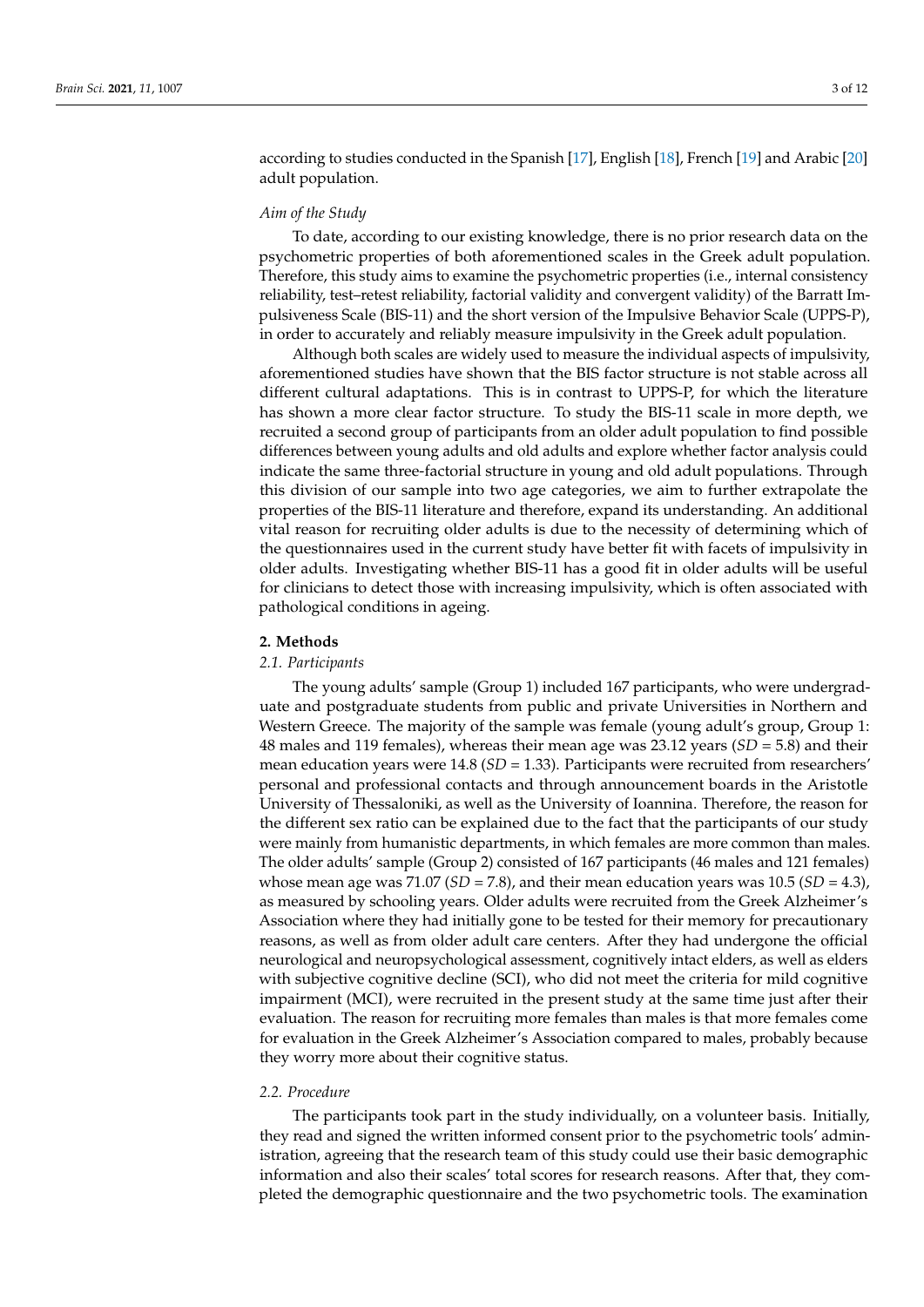according to studies conducted in the Spanish [17], English [18], French [19] and Arabic [20] adult population.

#### *Aim of the Study*

To date, according to our existing knowledge, there is no prior research data on the psychometric properties of both aforementioned scales in the Greek adult population. Therefore, this study aims to examine the psychometric properties (i.e., internal consistency reliability, test–retest reliability, factorial validity and convergent validity) of the Barratt Impulsiveness Scale (BIS-11) and the short version of the Impulsive Behavior Scale (UPPS-P), in order to accurately and reliably measure impulsivity in the Greek adult population.

Although both scales are widely used to measure the individual aspects of impulsivity, aforementioned studies have shown that the BIS factor structure is not stable across all different cultural adaptations. This is in contrast to UPPS-P, for which the literature has shown a more clear factor structure. To study the BIS-11 scale in more depth, we recruited a second group of participants from an older adult population to find possible differences between young adults and old adults and explore whether factor analysis could indicate the same three-factorial structure in young and old adult populations. Through this division of our sample into two age categories, we aim to further extrapolate the properties of the BIS-11 literature and therefore, expand its understanding. An additional vital reason for recruiting older adults is due to the necessity of determining which of the questionnaires used in the current study have better fit with facets of impulsivity in older adults. Investigating whether BIS-11 has a good fit in older adults will be useful for clinicians to detect those with increasing impulsivity, which is often associated with pathological conditions in ageing.

#### **2. Methods**

#### *2.1. Participants*

The young adults' sample (Group 1) included 167 participants, who were undergraduate and postgraduate students from public and private Universities in Northern and Western Greece. The majority of the sample was female (young adult's group, Group 1: 48 males and 119 females), whereas their mean age was 23.12 years (*SD* = 5.8) and their mean education years were 14.8 (*SD* = 1.33). Participants were recruited from researchers' personal and professional contacts and through announcement boards in the Aristotle University of Thessaloniki, as well as the University of Ioannina. Therefore, the reason for the different sex ratio can be explained due to the fact that the participants of our study were mainly from humanistic departments, in which females are more common than males. The older adults' sample (Group 2) consisted of 167 participants (46 males and 121 females) whose mean age was 71.07 (*SD* = 7.8), and their mean education years was 10.5 (*SD* = 4.3), as measured by schooling years. Older adults were recruited from the Greek Alzheimer's Association where they had initially gone to be tested for their memory for precautionary reasons, as well as from older adult care centers. After they had undergone the official neurological and neuropsychological assessment, cognitively intact elders, as well as elders with subjective cognitive decline (SCI), who did not meet the criteria for mild cognitive impairment (MCI), were recruited in the present study at the same time just after their evaluation. The reason for recruiting more females than males is that more females come for evaluation in the Greek Alzheimer's Association compared to males, probably because they worry more about their cognitive status.

# *2.2. Procedure*

The participants took part in the study individually, on a volunteer basis. Initially, they read and signed the written informed consent prior to the psychometric tools' administration, agreeing that the research team of this study could use their basic demographic information and also their scales' total scores for research reasons. After that, they completed the demographic questionnaire and the two psychometric tools. The examination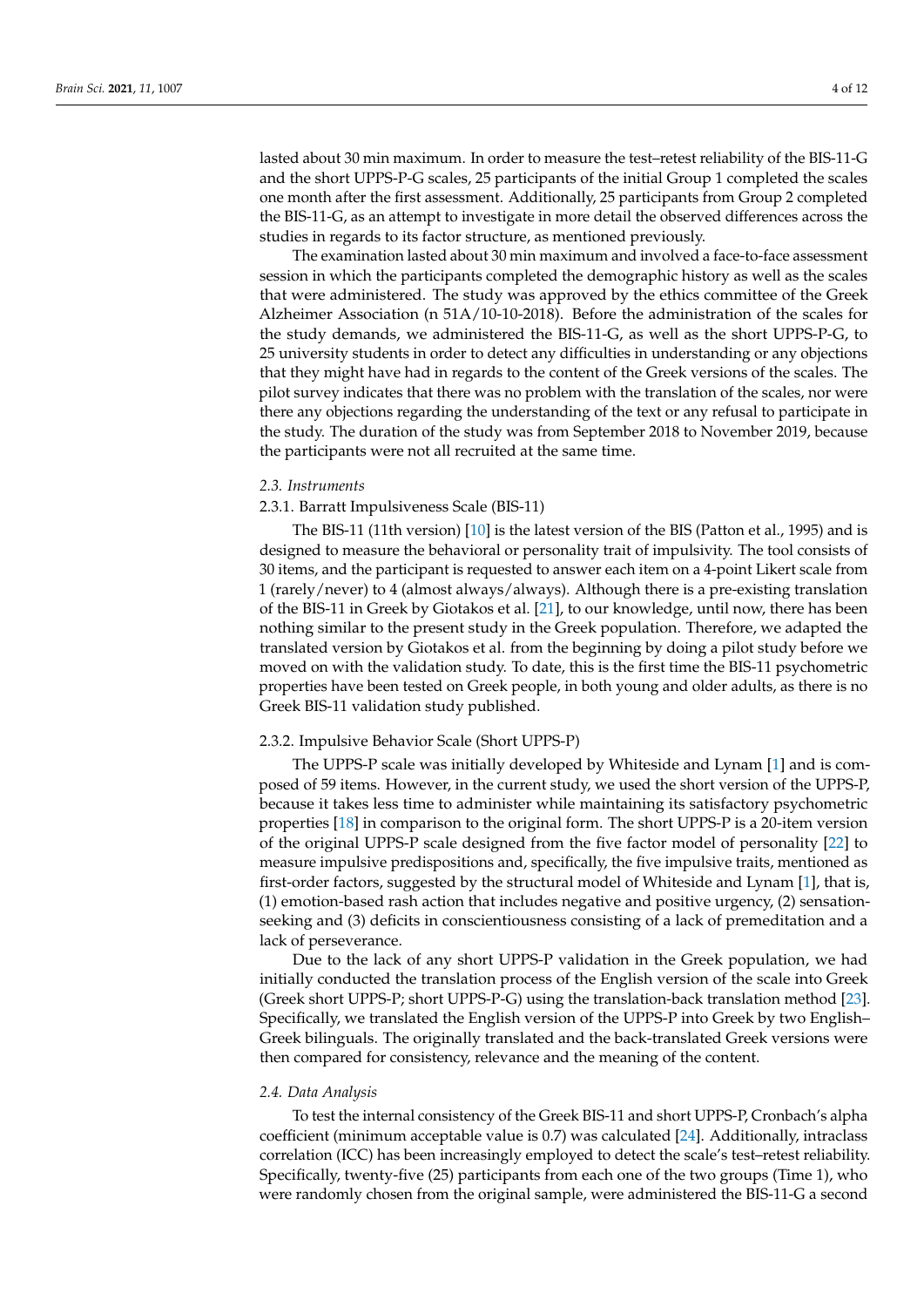lasted about 30 min maximum. In order to measure the test–retest reliability of the BIS-11-G and the short UPPS-P-G scales, 25 participants of the initial Group 1 completed the scales one month after the first assessment. Additionally, 25 participants from Group 2 completed the BIS-11-G, as an attempt to investigate in more detail the observed differences across the studies in regards to its factor structure, as mentioned previously.

The examination lasted about 30 min maximum and involved a face-to-face assessment session in which the participants completed the demographic history as well as the scales that were administered. The study was approved by the ethics committee of the Greek Alzheimer Association (n 51A/10-10-2018). Before the administration of the scales for the study demands, we administered the BIS-11-G, as well as the short UPPS-P-G, to 25 university students in order to detect any difficulties in understanding or any objections that they might have had in regards to the content of the Greek versions of the scales. The pilot survey indicates that there was no problem with the translation of the scales, nor were there any objections regarding the understanding of the text or any refusal to participate in the study. The duration of the study was from September 2018 to November 2019, because the participants were not all recruited at the same time.

#### *2.3. Instruments*

#### 2.3.1. Barratt Impulsiveness Scale (BIS-11)

The BIS-11 (11th version) [10] is the latest version of the BIS (Patton et al., 1995) and is designed to measure the behavioral or personality trait of impulsivity. The tool consists of 30 items, and the participant is requested to answer each item on a 4-point Likert scale from 1 (rarely/never) to 4 (almost always/always). Although there is a pre-existing translation of the BIS-11 in Greek by Giotakos et al. [21], to our knowledge, until now, there has been nothing similar to the present study in the Greek population. Therefore, we adapted the translated version by Giotakos et al. from the beginning by doing a pilot study before we moved on with the validation study. To date, this is the first time the BIS-11 psychometric properties have been tested on Greek people, in both young and older adults, as there is no Greek BIS-11 validation study published.

# 2.3.2. Impulsive Behavior Scale (Short UPPS-P)

The UPPS-P scale was initially developed by Whiteside and Lynam [1] and is composed of 59 items. However, in the current study, we used the short version of the UPPS-P, because it takes less time to administer while maintaining its satisfactory psychometric properties [18] in comparison to the original form. The short UPPS-P is a 20-item version of the original UPPS-P scale designed from the five factor model of personality [22] to measure impulsive predispositions and, specifically, the five impulsive traits, mentioned as first-order factors, suggested by the structural model of Whiteside and Lynam [1], that is, (1) emotion-based rash action that includes negative and positive urgency, (2) sensationseeking and (3) deficits in conscientiousness consisting of a lack of premeditation and a lack of perseverance.

Due to the lack of any short UPPS-P validation in the Greek population, we had initially conducted the translation process of the English version of the scale into Greek (Greek short UPPS-P; short UPPS-P-G) using the translation-back translation method [23]. Specifically, we translated the English version of the UPPS-P into Greek by two English– Greek bilinguals. The originally translated and the back-translated Greek versions were then compared for consistency, relevance and the meaning of the content.

#### *2.4. Data Analysis*

To test the internal consistency of the Greek BIS-11 and short UPPS-P, Cronbach's alpha coefficient (minimum acceptable value is 0.7) was calculated [24]. Additionally, intraclass correlation (ICC) has been increasingly employed to detect the scale's test–retest reliability. Specifically, twenty-five (25) participants from each one of the two groups (Time 1), who were randomly chosen from the original sample, were administered the BIS-11-G a second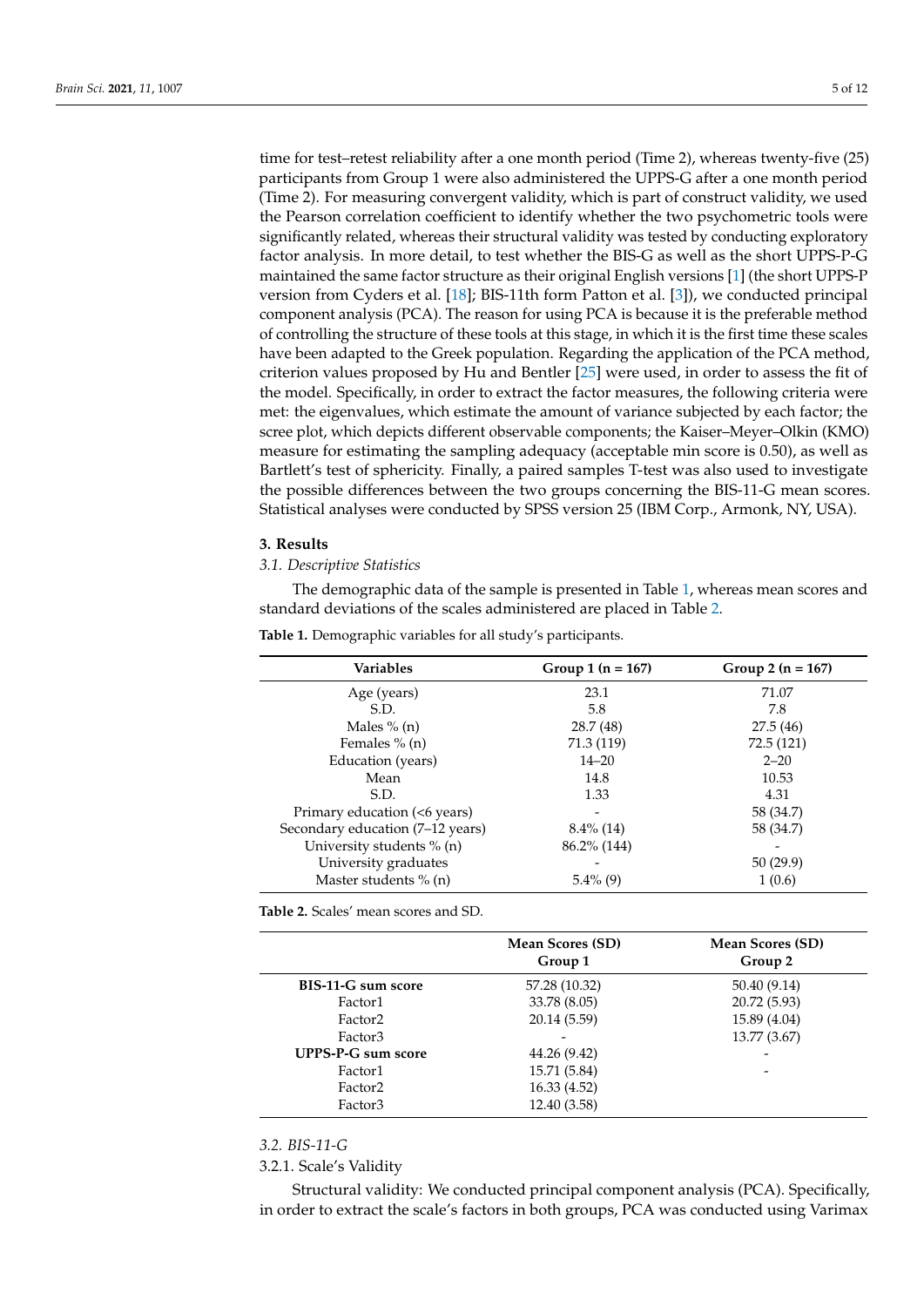time for test–retest reliability after a one month period (Time 2), whereas twenty-five (25) participants from Group 1 were also administered the UPPS-G after a one month period (Time 2). For measuring convergent validity, which is part of construct validity, we used the Pearson correlation coefficient to identify whether the two psychometric tools were significantly related, whereas their structural validity was tested by conducting exploratory factor analysis. In more detail, to test whether the BIS-G as well as the short UPPS-P-G maintained the same factor structure as their original English versions [1] (the short UPPS-P version from Cyders et al. [18]; BIS-11th form Patton et al. [3]), we conducted principal component analysis (PCA). The reason for using PCA is because it is the preferable method of controlling the structure of these tools at this stage, in which it is the first time these scales have been adapted to the Greek population. Regarding the application of the PCA method, criterion values proposed by Hu and Bentler [25] were used, in order to assess the fit of the model. Specifically, in order to extract the factor measures, the following criteria were met: the eigenvalues, which estimate the amount of variance subjected by each factor; the scree plot, which depicts different observable components; the Kaiser–Meyer–Olkin (KMO) measure for estimating the sampling adequacy (acceptable min score is 0.50), as well as Bartlett's test of sphericity. Finally, a paired samples T-test was also used to investigate the possible differences between the two groups concerning the BIS-11-G mean scores. Statistical analyses were conducted by SPSS version 25 (IBM Corp., Armonk, NY, USA).

#### **3. Results**

#### *3.1. Descriptive Statistics*

The demographic data of the sample is presented in Table 1, whereas mean scores and standard deviations of the scales administered are placed in Table 2.

| <b>Variables</b>                 | Group 1 $(n = 167)$ | Group 2 $(n = 167)$ |
|----------------------------------|---------------------|---------------------|
| Age (years)                      | 23.1                | 71.07               |
| S.D.                             | 5.8                 | 7.8                 |
| Males $% (n)$                    | 28.7 (48)           | 27.5(46)            |
| Females $% (n)$                  | 71.3 (119)          | 72.5 (121)          |
| Education (years)                | $14 - 20$           | $2 - 20$            |
| Mean                             | 14.8                | 10.53               |
| S.D.                             | 1.33                | 4.31                |
| Primary education (<6 years)     |                     | 58 (34.7)           |
| Secondary education (7–12 years) | $8.4\%$ (14)        | 58 (34.7)           |
| University students % (n)        | $86.2\%$ (144)      |                     |
| University graduates             |                     | 50(29.9)            |
| Master students $% (n)$          | $5.4\%$ (9)         | 1(0.6)              |

**Table 1.** Demographic variables for all study's participants.

**Table 2.** Scales' mean scores and SD.

|                           | Mean Scores (SD)<br>Group 1 | Mean Scores (SD)<br>Group 2 |
|---------------------------|-----------------------------|-----------------------------|
| BIS-11-G sum score        | 57.28 (10.32)               | 50.40 (9.14)                |
| Factor1                   | 33.78 (8.05)                | 20.72 (5.93)                |
| Factor <sub>2</sub>       | 20.14 (5.59)                | 15.89 (4.04)                |
| Factor3                   |                             | 13.77 (3.67)                |
| <b>UPPS-P-G sum score</b> | 44.26 (9.42)                |                             |
| Factor1                   | 15.71 (5.84)                |                             |
| Factor <sub>2</sub>       | 16.33 (4.52)                |                             |
| Factor3                   | 12.40 (3.58)                |                             |

*3.2. BIS-11-G*

3.2.1. Scale's Validity

Structural validity: We conducted principal component analysis (PCA). Specifically, in order to extract the scale's factors in both groups, PCA was conducted using Varimax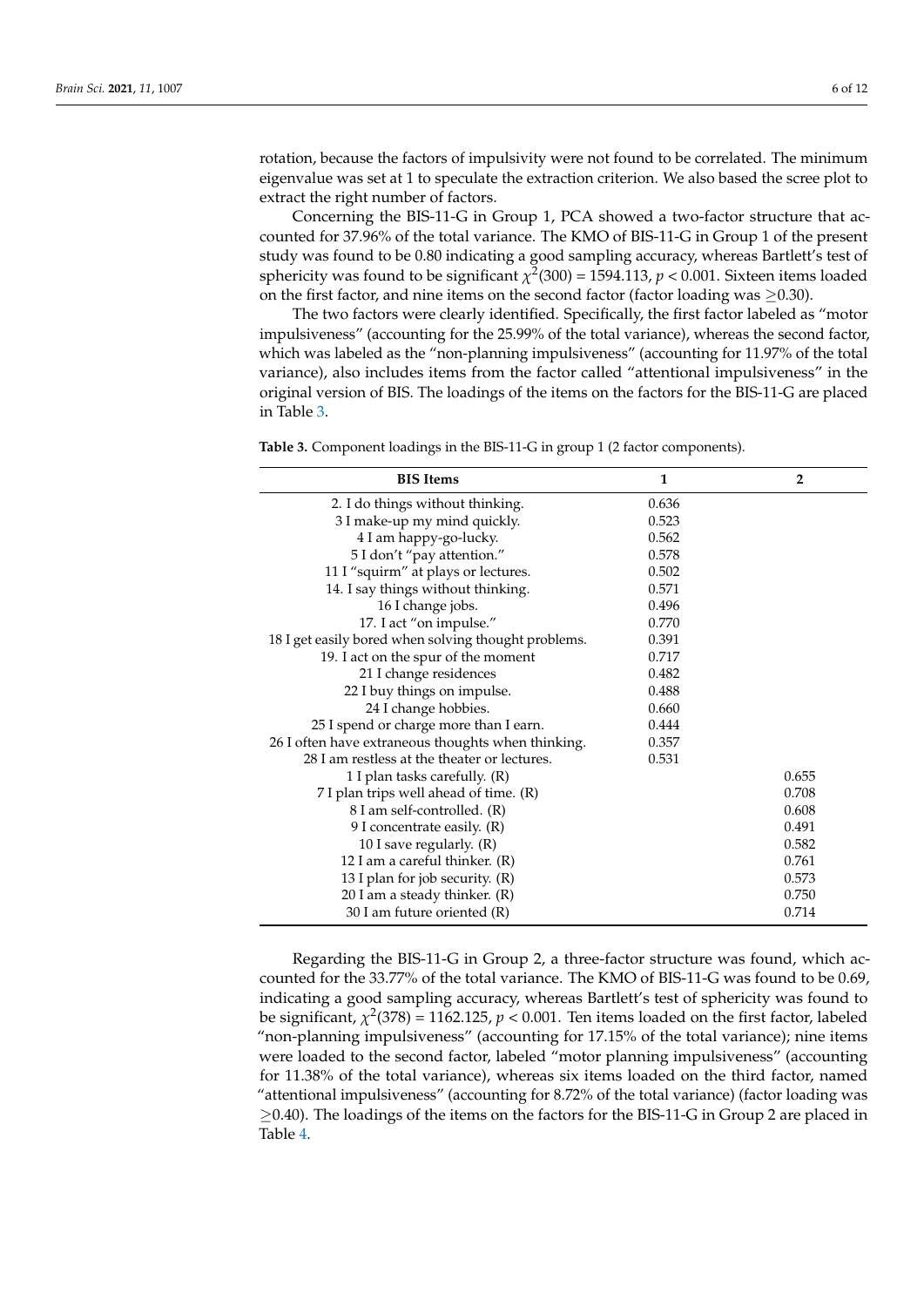rotation, because the factors of impulsivity were not found to be correlated. The minimum eigenvalue was set at 1 to speculate the extraction criterion. We also based the scree plot to extract the right number of factors.

Concerning the BIS-11-G in Group 1, PCA showed a two-factor structure that accounted for 37.96% of the total variance. The KMO of BIS-11-G in Group 1 of the present study was found to be 0.80 indicating a good sampling accuracy, whereas Bartlett's test of sphericity was found to be significant  $\chi^2(300) = 1594.113$ ,  $p < 0.001$ . Sixteen items loaded on the first factor, and nine items on the second factor (factor loading was  $\geq$ 0.30).

The two factors were clearly identified. Specifically, the first factor labeled as "motor impulsiveness" (accounting for the 25.99% of the total variance), whereas the second factor, which was labeled as the "non-planning impulsiveness" (accounting for 11.97% of the total variance), also includes items from the factor called "attentional impulsiveness" in the original version of BIS. The loadings of the items on the factors for the BIS-11-G are placed in Table 3.

**Table 3.** Component loadings in the BIS-11-G in group 1 (2 factor components).

| <b>BIS</b> Items                                     | $\mathbf{1}$ | $\overline{2}$ |
|------------------------------------------------------|--------------|----------------|
| 2. I do things without thinking.                     | 0.636        |                |
| 3 I make-up my mind quickly.                         | 0.523        |                |
| 4 I am happy-go-lucky.                               | 0.562        |                |
| 5 I don't "pay attention."                           | 0.578        |                |
| 11 I "squirm" at plays or lectures.                  | 0.502        |                |
| 14. I say things without thinking.                   | 0.571        |                |
| 16 I change jobs.                                    | 0.496        |                |
| 17. I act "on impulse."                              | 0.770        |                |
| 18 I get easily bored when solving thought problems. | 0.391        |                |
| 19. I act on the spur of the moment                  | 0.717        |                |
| 21 I change residences                               | 0.482        |                |
| 22 I buy things on impulse.                          | 0.488        |                |
| 24 I change hobbies.                                 | 0.660        |                |
| 25 I spend or charge more than I earn.               | 0.444        |                |
| 26 I often have extraneous thoughts when thinking.   | 0.357        |                |
| 28 I am restless at the theater or lectures.         | 0.531        |                |
| 1 I plan tasks carefully. (R)                        |              | 0.655          |
| 7 I plan trips well ahead of time. (R)               |              | 0.708          |
| 8 I am self-controlled. (R)                          |              | 0.608          |
| 9 I concentrate easily. (R)                          |              | 0.491          |
| 10 I save regularly. (R)                             |              | 0.582          |
| 12 I am a careful thinker. $(R)$                     |              | 0.761          |
| 13 I plan for job security. (R)                      |              | 0.573          |
| 20 I am a steady thinker. (R)                        |              | 0.750          |
| 30 I am future oriented (R)                          |              | 0.714          |

Regarding the BIS-11-G in Group 2, a three-factor structure was found, which accounted for the 33.77% of the total variance. The KMO of BIS-11-G was found to be 0.69, indicating a good sampling accuracy, whereas Bartlett's test of sphericity was found to be significant,  $\chi^2(378) = 1162.125$ ,  $p < 0.001$ . Ten items loaded on the first factor, labeled "non-planning impulsiveness" (accounting for 17.15% of the total variance); nine items were loaded to the second factor, labeled "motor planning impulsiveness" (accounting for 11.38% of the total variance), whereas six items loaded on the third factor, named "attentional impulsiveness" (accounting for 8.72% of the total variance) (factor loading was  $\geq$ 0.40). The loadings of the items on the factors for the BIS-11-G in Group 2 are placed in Table 4.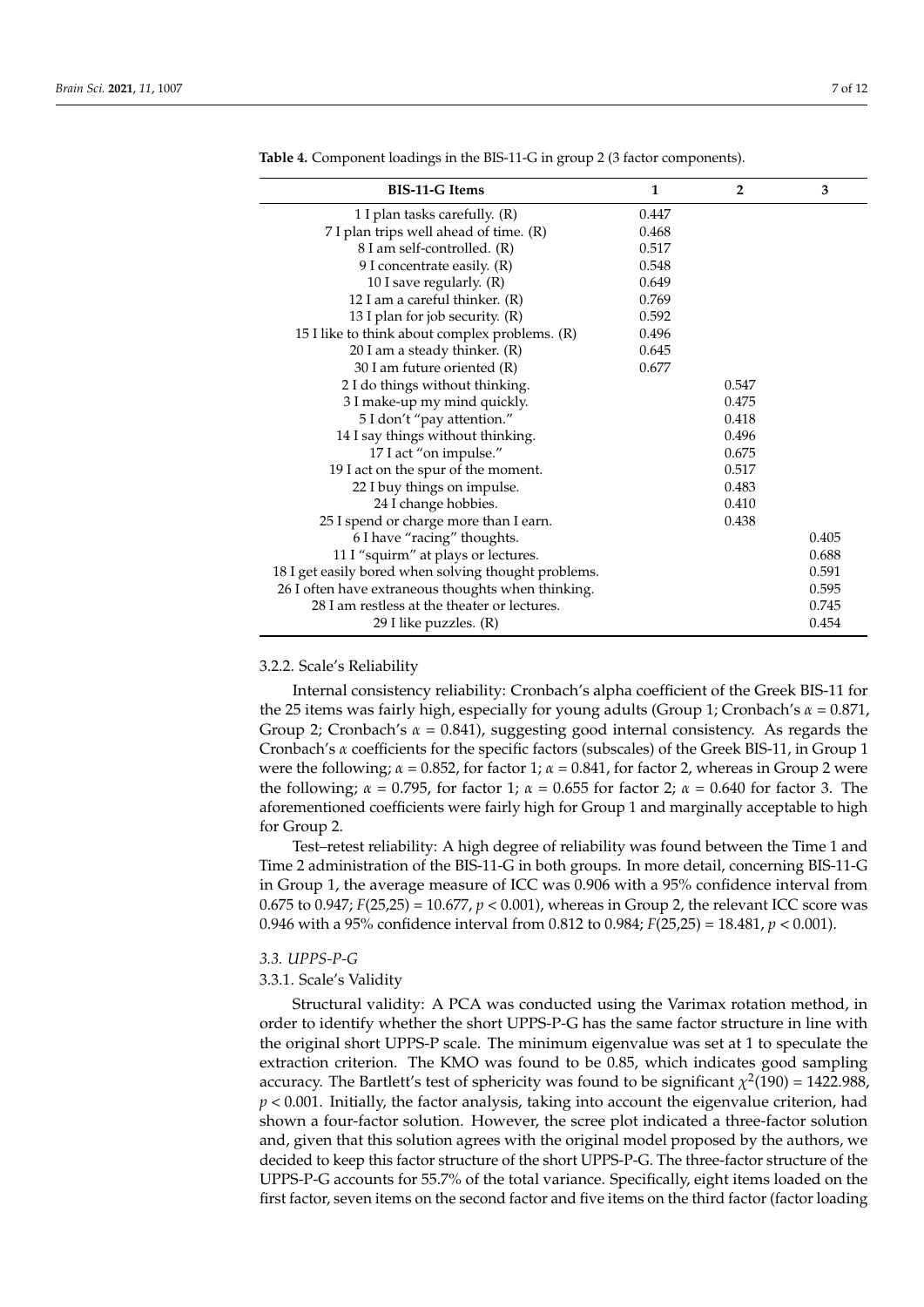| <b>BIS-11-G Items</b>                                | 1     | $\overline{2}$ | 3     |
|------------------------------------------------------|-------|----------------|-------|
| 1 I plan tasks carefully. (R)                        | 0.447 |                |       |
| 7 I plan trips well ahead of time. (R)               | 0.468 |                |       |
| 8 I am self-controlled. (R)                          | 0.517 |                |       |
| 9 I concentrate easily. (R)                          | 0.548 |                |       |
| 10 I save regularly. (R)                             | 0.649 |                |       |
| 12 I am a careful thinker. $(R)$                     | 0.769 |                |       |
| 13 I plan for job security. (R)                      | 0.592 |                |       |
| 15 I like to think about complex problems. (R)       | 0.496 |                |       |
| 20 I am a steady thinker. (R)                        | 0.645 |                |       |
| 30 I am future oriented (R)                          | 0.677 |                |       |
| 2 I do things without thinking.                      |       | 0.547          |       |
| 3 I make-up my mind quickly.                         |       | 0.475          |       |
| 5 I don't "pay attention."                           |       | 0.418          |       |
| 14 I say things without thinking.                    |       | 0.496          |       |
| 17 I act "on impulse."                               |       | 0.675          |       |
| 19 I act on the spur of the moment.                  |       | 0.517          |       |
| 22 I buy things on impulse.                          |       | 0.483          |       |
| 24 I change hobbies.                                 |       | 0.410          |       |
| 25 I spend or charge more than I earn.               |       | 0.438          |       |
| 6 I have "racing" thoughts.                          |       |                | 0.405 |
| 11 I "squirm" at plays or lectures.                  |       |                | 0.688 |
| 18 I get easily bored when solving thought problems. |       |                | 0.591 |
| 26 I often have extraneous thoughts when thinking.   |       |                | 0.595 |
| 28 I am restless at the theater or lectures.         |       |                | 0.745 |
| 29 I like puzzles. (R)                               |       |                | 0.454 |

**Table 4.** Component loadings in the BIS-11-G in group 2 (3 factor components).

#### 3.2.2. Scale's Reliability

Internal consistency reliability: Cronbach's alpha coefficient of the Greek BIS-11 for the 25 items was fairly high, especially for young adults (Group 1; Cronbach's *α* = 0.871, Group 2; Cronbach's *α* = 0.841), suggesting good internal consistency. As regards the Cronbach's *α* coefficients for the specific factors (subscales) of the Greek BIS-11, in Group 1 were the following;  $\alpha = 0.852$ , for factor 1;  $\alpha = 0.841$ , for factor 2, whereas in Group 2 were the following; *α* = 0.795, for factor 1; *α* = 0.655 for factor 2; *α* = 0.640 for factor 3. The aforementioned coefficients were fairly high for Group 1 and marginally acceptable to high for Group 2.

Test–retest reliability: A high degree of reliability was found between the Time 1 and Time 2 administration of the BIS-11-G in both groups. In more detail, concerning BIS-11-G in Group 1, the average measure of ICC was 0.906 with a 95% confidence interval from 0.675 to 0.947; *F*(25,25) = 10.677, *p* < 0.001), whereas in Group 2, the relevant ICC score was 0.946 with a 95% confidence interval from 0.812 to 0.984; *F*(25,25) = 18.481, *p* < 0.001).

#### *3.3. UPPS-P-G*

#### 3.3.1. Scale's Validity

Structural validity: A PCA was conducted using the Varimax rotation method, in order to identify whether the short UPPS-P-G has the same factor structure in line with the original short UPPS-P scale. The minimum eigenvalue was set at 1 to speculate the extraction criterion. The KMO was found to be 0.85, which indicates good sampling accuracy. The Bartlett's test of sphericity was found to be significant  $\chi^2(190) = 1422.988$ , *p* < 0.001. Initially, the factor analysis, taking into account the eigenvalue criterion, had shown a four-factor solution. However, the scree plot indicated a three-factor solution and, given that this solution agrees with the original model proposed by the authors, we decided to keep this factor structure of the short UPPS-P-G. The three-factor structure of the UPPS-P-G accounts for 55.7% of the total variance. Specifically, eight items loaded on the first factor, seven items on the second factor and five items on the third factor (factor loading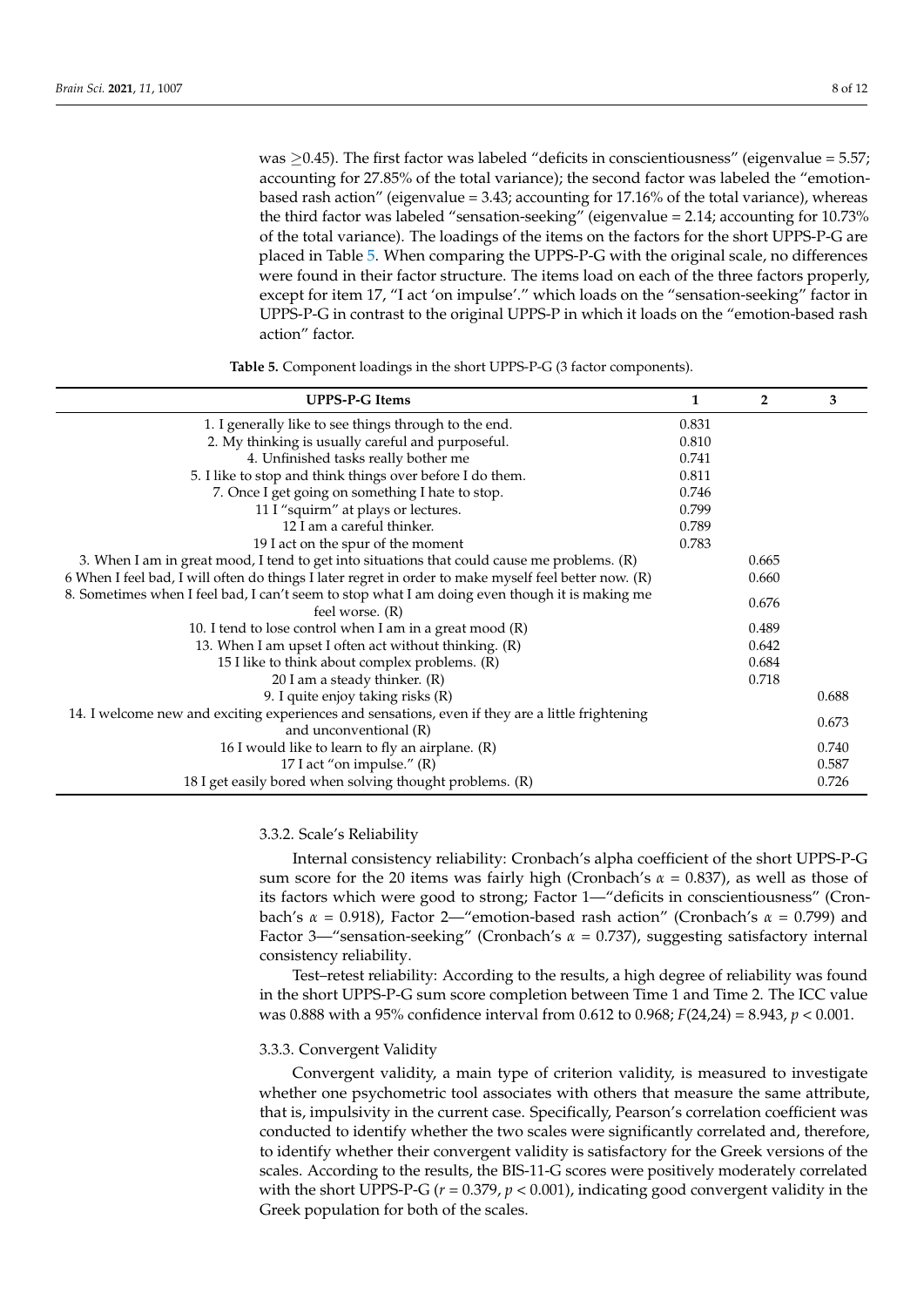was  $\geq$ 0.45). The first factor was labeled "deficits in conscientiousness" (eigenvalue = 5.57; accounting for 27.85% of the total variance); the second factor was labeled the "emotionbased rash action" (eigenvalue = 3.43; accounting for 17.16% of the total variance), whereas the third factor was labeled "sensation-seeking" (eigenvalue = 2.14; accounting for 10.73% of the total variance). The loadings of the items on the factors for the short UPPS-P-G are placed in Table 5. When comparing the UPPS-P-G with the original scale, no differences were found in their factor structure. The items load on each of the three factors properly, except for item 17, "I act 'on impulse'." which loads on the "sensation-seeking" factor in UPPS-P-G in contrast to the original UPPS-P in which it loads on the "emotion-based rash action" factor.

**Table 5.** Component loadings in the short UPPS-P-G (3 factor components).

| <b>UPPS-P-G Items</b>                                                                                                      |       | $\overline{2}$ | 3     |
|----------------------------------------------------------------------------------------------------------------------------|-------|----------------|-------|
| 1. I generally like to see things through to the end.                                                                      | 0.831 |                |       |
| 2. My thinking is usually careful and purposeful.                                                                          | 0.810 |                |       |
| 4. Unfinished tasks really bother me                                                                                       | 0.741 |                |       |
| 5. I like to stop and think things over before I do them.                                                                  | 0.811 |                |       |
| 7. Once I get going on something I hate to stop.                                                                           | 0.746 |                |       |
| 11 I "squirm" at plays or lectures.                                                                                        | 0.799 |                |       |
| 12 I am a careful thinker.                                                                                                 | 0.789 |                |       |
| 19 I act on the spur of the moment                                                                                         | 0.783 |                |       |
| 3. When I am in great mood, I tend to get into situations that could cause me problems. (R)                                |       | 0.665          |       |
| 6 When I feel bad, I will often do things I later regret in order to make myself feel better now. (R)                      |       | 0.660          |       |
| 8. Sometimes when I feel bad, I can't seem to stop what I am doing even though it is making me<br>feel worse. (R)          |       | 0.676          |       |
| 10. I tend to lose control when I am in a great mood $(R)$                                                                 |       | 0.489          |       |
| 13. When I am upset I often act without thinking. (R)                                                                      |       | 0.642          |       |
| 15 I like to think about complex problems. (R)                                                                             |       | 0.684          |       |
| 20 I am a steady thinker. (R)                                                                                              |       | 0.718          |       |
| 9. I quite enjoy taking risks (R)                                                                                          |       |                | 0.688 |
| 14. I welcome new and exciting experiences and sensations, even if they are a little frightening<br>and unconventional (R) |       |                | 0.673 |
| 16 I would like to learn to fly an airplane. (R)                                                                           |       |                | 0.740 |
| 17 I act "on impulse." (R)                                                                                                 |       |                | 0.587 |
| 18 I get easily bored when solving thought problems. (R)                                                                   |       |                | 0.726 |

#### 3.3.2. Scale's Reliability

Internal consistency reliability: Cronbach's alpha coefficient of the short UPPS-P-G sum score for the 20 items was fairly high (Cronbach's *α* = 0.837), as well as those of its factors which were good to strong; Factor 1—"deficits in conscientiousness" (Cronbach's *α* = 0.918), Factor 2—"emotion-based rash action" (Cronbach's *α* = 0.799) and Factor 3—"sensation-seeking" (Cronbach's *α* = 0.737), suggesting satisfactory internal consistency reliability.

Test–retest reliability: According to the results, a high degree of reliability was found in the short UPPS-P-G sum score completion between Time 1 and Time 2. The ICC value was 0.888 with a 95% confidence interval from 0.612 to 0.968; *F*(24,24) = 8.943, *p* < 0.001.

#### 3.3.3. Convergent Validity

Convergent validity, a main type of criterion validity, is measured to investigate whether one psychometric tool associates with others that measure the same attribute, that is, impulsivity in the current case. Specifically, Pearson's correlation coefficient was conducted to identify whether the two scales were significantly correlated and, therefore, to identify whether their convergent validity is satisfactory for the Greek versions of the scales. According to the results, the BIS-11-G scores were positively moderately correlated with the short UPPS-P-G (*r* = 0.379, *p* < 0.001), indicating good convergent validity in the Greek population for both of the scales.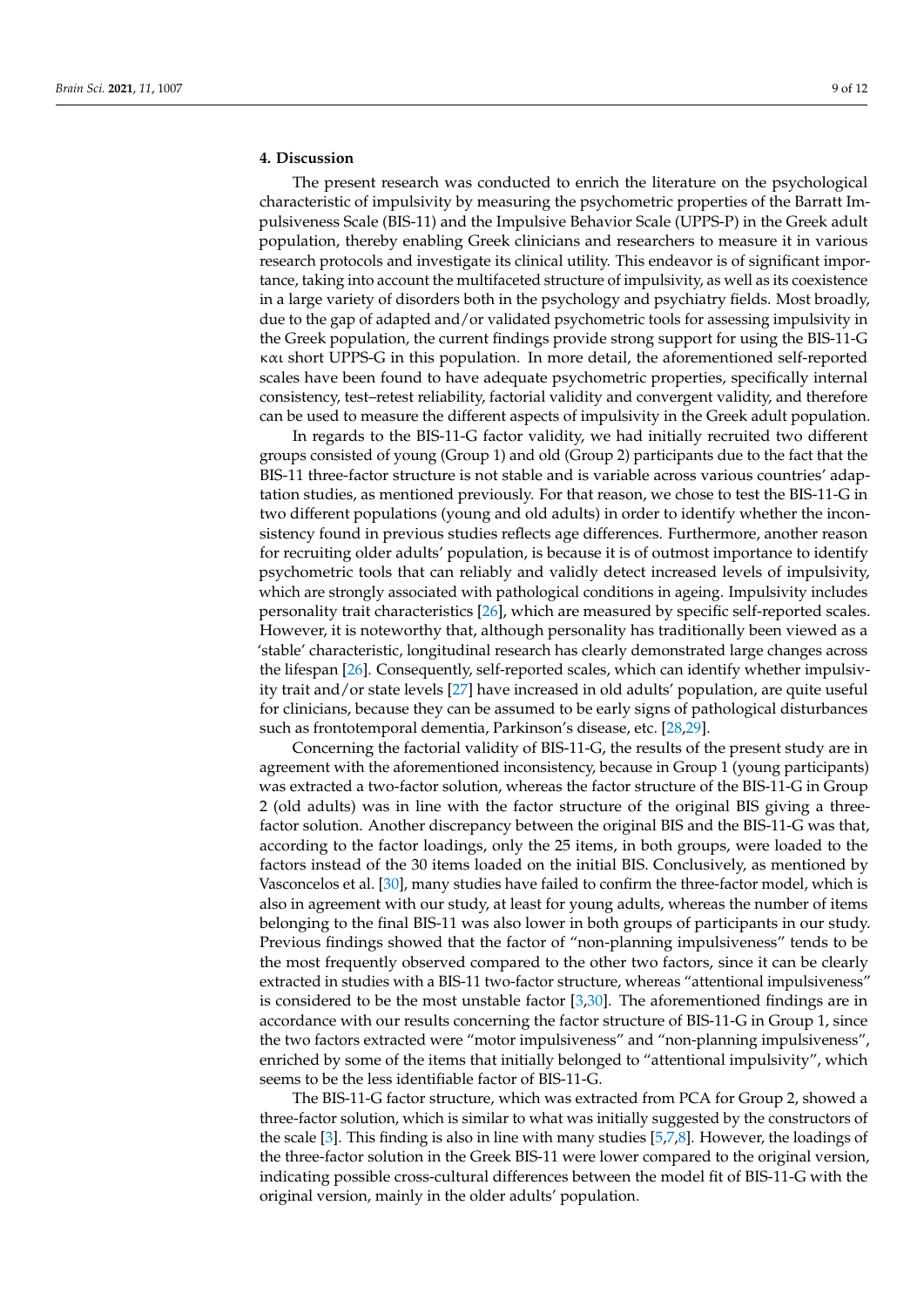# **4. Discussion**

The present research was conducted to enrich the literature on the psychological characteristic of impulsivity by measuring the psychometric properties of the Barratt Impulsiveness Scale (BIS-11) and the Impulsive Behavior Scale (UPPS-P) in the Greek adult population, thereby enabling Greek clinicians and researchers to measure it in various research protocols and investigate its clinical utility. This endeavor is of significant importance, taking into account the multifaceted structure of impulsivity, as well as its coexistence in a large variety of disorders both in the psychology and psychiatry fields. Most broadly, due to the gap of adapted and/or validated psychometric tools for assessing impulsivity in the Greek population, the current findings provide strong support for using the BIS-11-G και short UPPS-G in this population. In more detail, the aforementioned self-reported scales have been found to have adequate psychometric properties, specifically internal consistency, test–retest reliability, factorial validity and convergent validity, and therefore can be used to measure the different aspects of impulsivity in the Greek adult population.

In regards to the BIS-11-G factor validity, we had initially recruited two different groups consisted of young (Group 1) and old (Group 2) participants due to the fact that the BIS-11 three-factor structure is not stable and is variable across various countries' adaptation studies, as mentioned previously. For that reason, we chose to test the BIS-11-G in two different populations (young and old adults) in order to identify whether the inconsistency found in previous studies reflects age differences. Furthermore, another reason for recruiting older adults' population, is because it is of outmost importance to identify psychometric tools that can reliably and validly detect increased levels of impulsivity, which are strongly associated with pathological conditions in ageing. Impulsivity includes personality trait characteristics [26], which are measured by specific self-reported scales. However, it is noteworthy that, although personality has traditionally been viewed as a 'stable' characteristic, longitudinal research has clearly demonstrated large changes across the lifespan [26]. Consequently, self-reported scales, which can identify whether impulsivity trait and/or state levels [27] have increased in old adults' population, are quite useful for clinicians, because they can be assumed to be early signs of pathological disturbances such as frontotemporal dementia, Parkinson's disease, etc. [28,29].

Concerning the factorial validity of BIS-11-G, the results of the present study are in agreement with the aforementioned inconsistency, because in Group 1 (young participants) was extracted a two-factor solution, whereas the factor structure of the BIS-11-G in Group 2 (old adults) was in line with the factor structure of the original BIS giving a threefactor solution. Another discrepancy between the original BIS and the BIS-11-G was that, according to the factor loadings, only the 25 items, in both groups, were loaded to the factors instead of the 30 items loaded on the initial BIS. Conclusively, as mentioned by Vasconcelos et al. [30], many studies have failed to confirm the three-factor model, which is also in agreement with our study, at least for young adults, whereas the number of items belonging to the final BIS-11 was also lower in both groups of participants in our study. Previous findings showed that the factor of "non-planning impulsiveness" tends to be the most frequently observed compared to the other two factors, since it can be clearly extracted in studies with a BIS-11 two-factor structure, whereas "attentional impulsiveness" is considered to be the most unstable factor [3,30]. The aforementioned findings are in accordance with our results concerning the factor structure of BIS-11-G in Group 1, since the two factors extracted were "motor impulsiveness" and "non-planning impulsiveness", enriched by some of the items that initially belonged to "attentional impulsivity", which seems to be the less identifiable factor of BIS-11-G.

The BIS-11-G factor structure, which was extracted from PCA for Group 2, showed a three-factor solution, which is similar to what was initially suggested by the constructors of the scale [3]. This finding is also in line with many studies [5,7,8]. However, the loadings of the three-factor solution in the Greek BIS-11 were lower compared to the original version, indicating possible cross-cultural differences between the model fit of BIS-11-G with the original version, mainly in the older adults' population.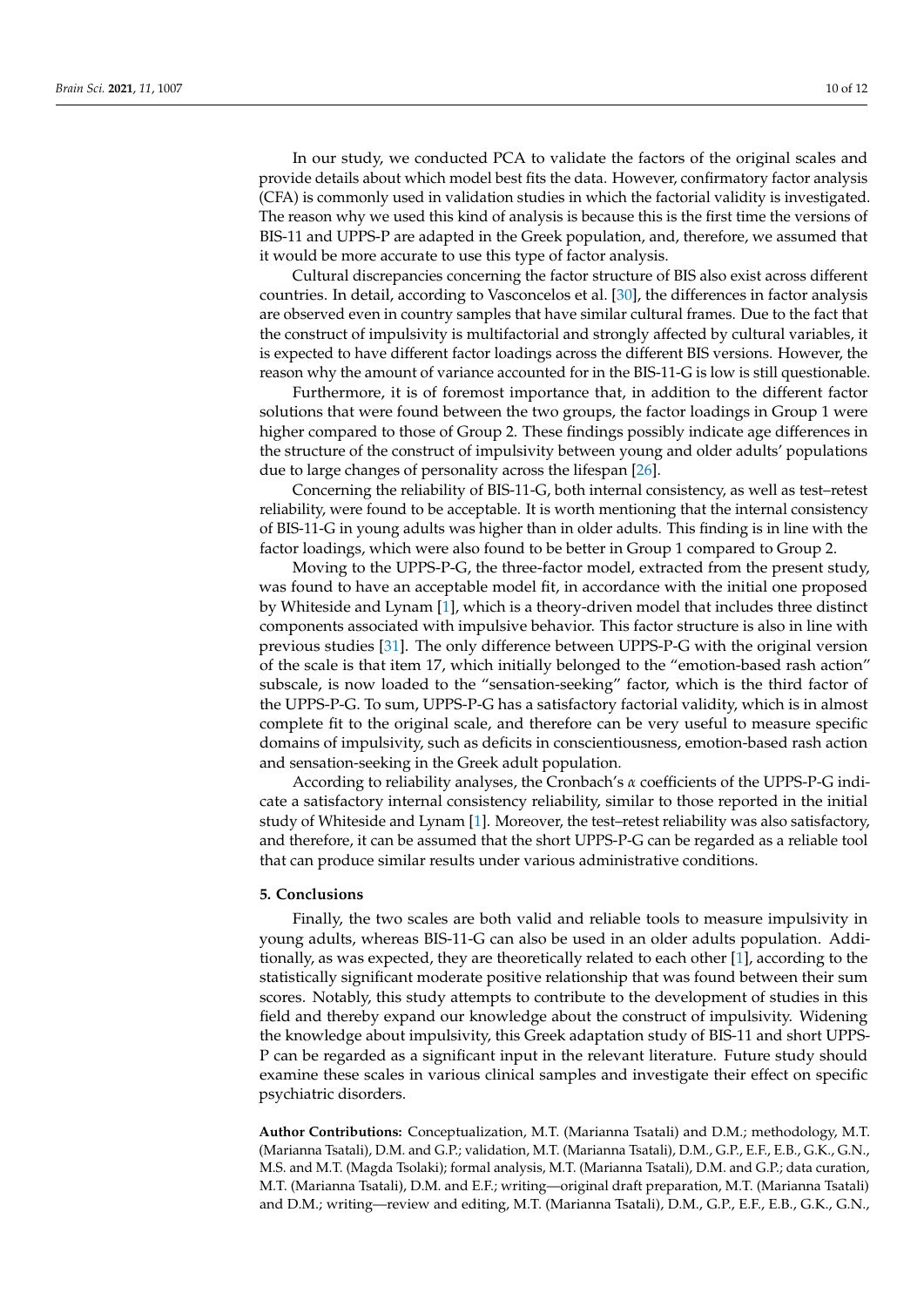In our study, we conducted PCA to validate the factors of the original scales and provide details about which model best fits the data. However, confirmatory factor analysis (CFA) is commonly used in validation studies in which the factorial validity is investigated. The reason why we used this kind of analysis is because this is the first time the versions of BIS-11 and UPPS-P are adapted in the Greek population, and, therefore, we assumed that it would be more accurate to use this type of factor analysis.

Cultural discrepancies concerning the factor structure of BIS also exist across different countries. In detail, according to Vasconcelos et al. [30], the differences in factor analysis are observed even in country samples that have similar cultural frames. Due to the fact that the construct of impulsivity is multifactorial and strongly affected by cultural variables, it is expected to have different factor loadings across the different BIS versions. However, the reason why the amount of variance accounted for in the BIS-11-G is low is still questionable.

Furthermore, it is of foremost importance that, in addition to the different factor solutions that were found between the two groups, the factor loadings in Group 1 were higher compared to those of Group 2. These findings possibly indicate age differences in the structure of the construct of impulsivity between young and older adults' populations due to large changes of personality across the lifespan [26].

Concerning the reliability of BIS-11-G, both internal consistency, as well as test–retest reliability, were found to be acceptable. It is worth mentioning that the internal consistency of BIS-11-G in young adults was higher than in older adults. This finding is in line with the factor loadings, which were also found to be better in Group 1 compared to Group 2.

Moving to the UPPS-P-G, the three-factor model, extracted from the present study, was found to have an acceptable model fit, in accordance with the initial one proposed by Whiteside and Lynam [1], which is a theory-driven model that includes three distinct components associated with impulsive behavior. This factor structure is also in line with previous studies [31]. The only difference between UPPS-P-G with the original version of the scale is that item 17, which initially belonged to the "emotion-based rash action" subscale, is now loaded to the "sensation-seeking" factor, which is the third factor of the UPPS-P-G. To sum, UPPS-P-G has a satisfactory factorial validity, which is in almost complete fit to the original scale, and therefore can be very useful to measure specific domains of impulsivity, such as deficits in conscientiousness, emotion-based rash action and sensation-seeking in the Greek adult population.

According to reliability analyses, the Cronbach's *α* coefficients of the UPPS-P-G indicate a satisfactory internal consistency reliability, similar to those reported in the initial study of Whiteside and Lynam [1]. Moreover, the test–retest reliability was also satisfactory, and therefore, it can be assumed that the short UPPS-P-G can be regarded as a reliable tool that can produce similar results under various administrative conditions.

# **5. Conclusions**

Finally, the two scales are both valid and reliable tools to measure impulsivity in young adults, whereas BIS-11-G can also be used in an older adults population. Additionally, as was expected, they are theoretically related to each other [1], according to the statistically significant moderate positive relationship that was found between their sum scores. Notably, this study attempts to contribute to the development of studies in this field and thereby expand our knowledge about the construct of impulsivity. Widening the knowledge about impulsivity, this Greek adaptation study of BIS-11 and short UPPS-P can be regarded as a significant input in the relevant literature. Future study should examine these scales in various clinical samples and investigate their effect on specific psychiatric disorders.

**Author Contributions:** Conceptualization, M.T. (Marianna Tsatali) and D.M.; methodology, M.T. (Marianna Tsatali), D.M. and G.P.; validation, M.T. (Marianna Tsatali), D.M., G.P., E.F., E.B., G.K., G.N., M.S. and M.T. (Magda Tsolaki); formal analysis, M.T. (Marianna Tsatali), D.M. and G.P.; data curation, M.T. (Marianna Tsatali), D.M. and E.F.; writing—original draft preparation, M.T. (Marianna Tsatali) and D.M.; writing—review and editing, M.T. (Marianna Tsatali), D.M., G.P., E.F., E.B., G.K., G.N.,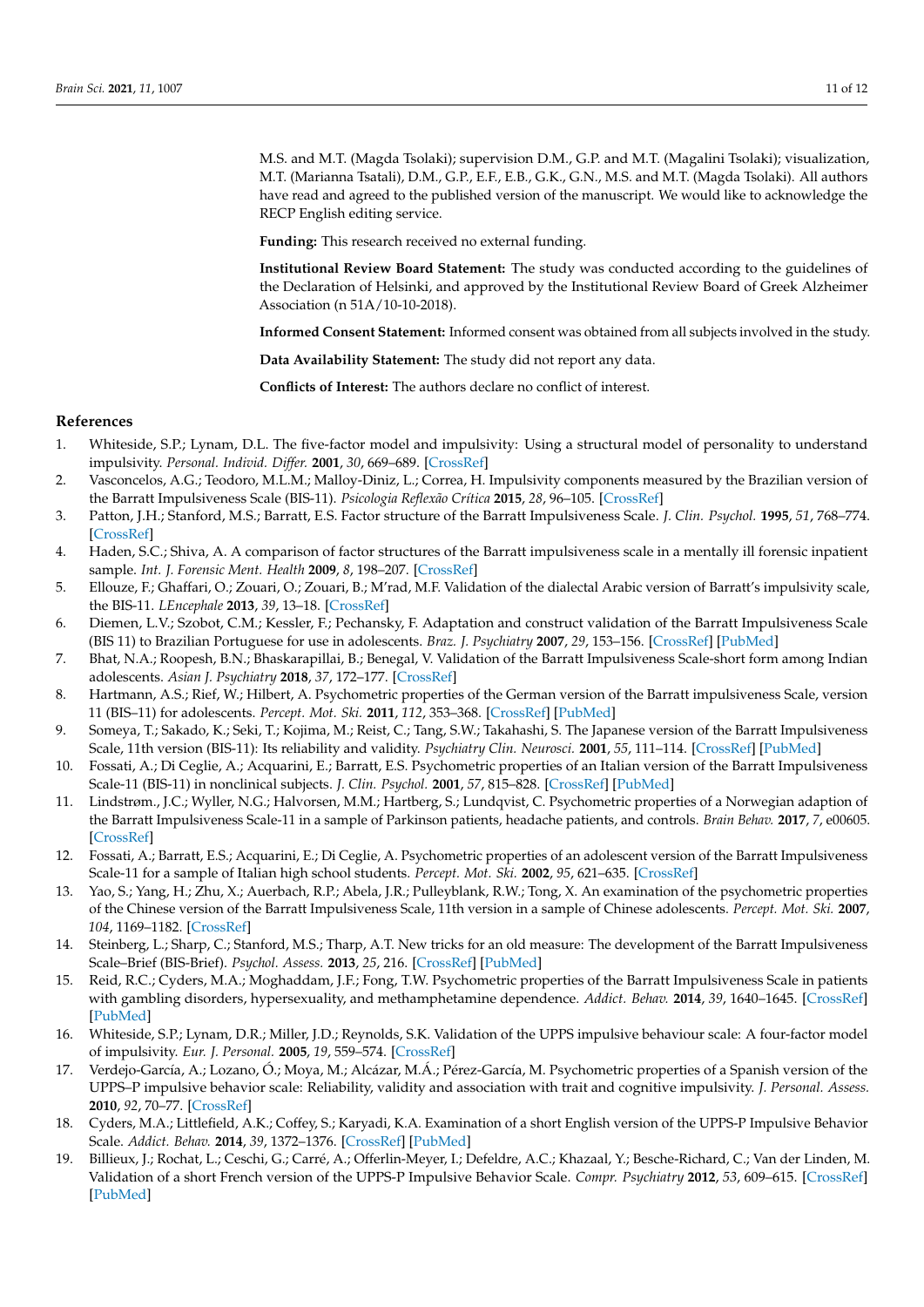M.S. and M.T. (Magda Tsolaki); supervision D.M., G.P. and M.T. (Magalini Tsolaki); visualization, M.T. (Marianna Tsatali), D.M., G.P., E.F., E.B., G.K., G.N., M.S. and M.T. (Magda Tsolaki). All authors have read and agreed to the published version of the manuscript. We would like to acknowledge the RECP English editing service.

**Funding:** This research received no external funding.

**Institutional Review Board Statement:** The study was conducted according to the guidelines of the Declaration of Helsinki, and approved by the Institutional Review Board of Greek Alzheimer Association (n 51A/10-10-2018).

**Informed Consent Statement:** Informed consent was obtained from all subjects involved in the study.

**Data Availability Statement:** The study did not report any data.

**Conflicts of Interest:** The authors declare no conflict of interest.

## **References**

- 1. Whiteside, S.P.; Lynam, D.L. The five-factor model and impulsivity: Using a structural model of personality to understand impulsivity. *Personal. Individ. Differ.* **2001**, *30*, 669–689. [\[CrossRef\]](http://doi.org/10.1016/S0191-8869(00)00064-7)
- 2. Vasconcelos, A.G.; Teodoro, M.L.M.; Malloy-Diniz, L.; Correa, H. Impulsivity components measured by the Brazilian version of the Barratt Impulsiveness Scale (BIS-11). *Psicologia Reflexão Crítica* **2015**, *28*, 96–105. [\[CrossRef\]](http://doi.org/10.1590/1678-7153.201528111)
- 3. Patton, J.H.; Stanford, M.S.; Barratt, E.S. Factor structure of the Barratt Impulsiveness Scale. *J. Clin. Psychol.* **1995**, *51*, 768–774. [\[CrossRef\]](http://doi.org/10.1002/1097-4679(199511)51:6<768::AID-JCLP2270510607>3.0.CO;2-1)
- 4. Haden, S.C.; Shiva, A. A comparison of factor structures of the Barratt impulsiveness scale in a mentally ill forensic inpatient sample. *Int. J. Forensic Ment. Health* **2009**, *8*, 198–207. [\[CrossRef\]](http://doi.org/10.1080/14999010903358920)
- 5. Ellouze, F.; Ghaffari, O.; Zouari, O.; Zouari, B.; M'rad, M.F. Validation of the dialectal Arabic version of Barratt's impulsivity scale, the BIS-11. *LEncephale* **2013**, *39*, 13–18. [\[CrossRef\]](http://doi.org/10.1016/j.encep.2012.06.034)
- 6. Diemen, L.V.; Szobot, C.M.; Kessler, F.; Pechansky, F. Adaptation and construct validation of the Barratt Impulsiveness Scale (BIS 11) to Brazilian Portuguese for use in adolescents. *Braz. J. Psychiatry* **2007**, *29*, 153–156. [\[CrossRef\]](http://doi.org/10.1590/S1516-44462006005000020) [\[PubMed\]](http://www.ncbi.nlm.nih.gov/pubmed/17650537)
- 7. Bhat, N.A.; Roopesh, B.N.; Bhaskarapillai, B.; Benegal, V. Validation of the Barratt Impulsiveness Scale-short form among Indian adolescents. *Asian J. Psychiatry* **2018**, *37*, 172–177. [\[CrossRef\]](http://doi.org/10.1016/j.ajp.2018.10.009)
- 8. Hartmann, A.S.; Rief, W.; Hilbert, A. Psychometric properties of the German version of the Barratt impulsiveness Scale, version 11 (BIS–11) for adolescents. *Percept. Mot. Ski.* **2011**, *112*, 353–368. [\[CrossRef\]](http://doi.org/10.2466/08.09.10.PMS.112.2.353-368) [\[PubMed\]](http://www.ncbi.nlm.nih.gov/pubmed/21667747)
- 9. Someya, T.; Sakado, K.; Seki, T.; Kojima, M.; Reist, C.; Tang, S.W.; Takahashi, S. The Japanese version of the Barratt Impulsiveness Scale, 11th version (BIS-11): Its reliability and validity. *Psychiatry Clin. Neurosci.* **2001**, *55*, 111–114. [\[CrossRef\]](http://doi.org/10.1046/j.1440-1819.2001.00796.x) [\[PubMed\]](http://www.ncbi.nlm.nih.gov/pubmed/11285088)
- 10. Fossati, A.; Di Ceglie, A.; Acquarini, E.; Barratt, E.S. Psychometric properties of an Italian version of the Barratt Impulsiveness Scale-11 (BIS-11) in nonclinical subjects. *J. Clin. Psychol.* **2001**, *57*, 815–828. [\[CrossRef\]](http://doi.org/10.1002/jclp.1051) [\[PubMed\]](http://www.ncbi.nlm.nih.gov/pubmed/11344467)
- 11. Lindstrøm., J.C.; Wyller, N.G.; Halvorsen, M.M.; Hartberg, S.; Lundqvist, C. Psychometric properties of a Norwegian adaption of the Barratt Impulsiveness Scale-11 in a sample of Parkinson patients, headache patients, and controls. *Brain Behav.* **2017**, *7*, e00605. [\[CrossRef\]](http://doi.org/10.1002/brb3.605)
- 12. Fossati, A.; Barratt, E.S.; Acquarini, E.; Di Ceglie, A. Psychometric properties of an adolescent version of the Barratt Impulsiveness Scale-11 for a sample of Italian high school students. *Percept. Mot. Ski.* **2002**, *95*, 621–635. [\[CrossRef\]](http://doi.org/10.2466/pms.2002.95.2.621)
- 13. Yao, S.; Yang, H.; Zhu, X.; Auerbach, R.P.; Abela, J.R.; Pulleyblank, R.W.; Tong, X. An examination of the psychometric properties of the Chinese version of the Barratt Impulsiveness Scale, 11th version in a sample of Chinese adolescents. *Percept. Mot. Ski.* **2007**, *104*, 1169–1182. [\[CrossRef\]](http://doi.org/10.2466/pms.104.4.1169-1182)
- 14. Steinberg, L.; Sharp, C.; Stanford, M.S.; Tharp, A.T. New tricks for an old measure: The development of the Barratt Impulsiveness Scale–Brief (BIS-Brief). *Psychol. Assess.* **2013**, *25*, 216. [\[CrossRef\]](http://doi.org/10.1037/a0030550) [\[PubMed\]](http://www.ncbi.nlm.nih.gov/pubmed/23148649)
- 15. Reid, R.C.; Cyders, M.A.; Moghaddam, J.F.; Fong, T.W. Psychometric properties of the Barratt Impulsiveness Scale in patients with gambling disorders, hypersexuality, and methamphetamine dependence. *Addict. Behav.* **2014**, *39*, 1640–1645. [\[CrossRef\]](http://doi.org/10.1016/j.addbeh.2013.11.008) [\[PubMed\]](http://www.ncbi.nlm.nih.gov/pubmed/24314714)
- 16. Whiteside, S.P.; Lynam, D.R.; Miller, J.D.; Reynolds, S.K. Validation of the UPPS impulsive behaviour scale: A four-factor model of impulsivity. *Eur. J. Personal.* **2005**, *19*, 559–574. [\[CrossRef\]](http://doi.org/10.1002/per.556)
- 17. Verdejo-García, A.; Lozano, Ó.; Moya, M.; Alcázar, M.Á.; Pérez-García, M. Psychometric properties of a Spanish version of the UPPS–P impulsive behavior scale: Reliability, validity and association with trait and cognitive impulsivity. *J. Personal. Assess.* **2010**, *92*, 70–77. [\[CrossRef\]](http://doi.org/10.1080/00223890903382369)
- 18. Cyders, M.A.; Littlefield, A.K.; Coffey, S.; Karyadi, K.A. Examination of a short English version of the UPPS-P Impulsive Behavior Scale. *Addict. Behav.* **2014**, *39*, 1372–1376. [\[CrossRef\]](http://doi.org/10.1016/j.addbeh.2014.02.013) [\[PubMed\]](http://www.ncbi.nlm.nih.gov/pubmed/24636739)
- 19. Billieux, J.; Rochat, L.; Ceschi, G.; Carré, A.; Offerlin-Meyer, I.; Defeldre, A.C.; Khazaal, Y.; Besche-Richard, C.; Van der Linden, M. Validation of a short French version of the UPPS-P Impulsive Behavior Scale. *Compr. Psychiatry* **2012**, *53*, 609–615. [\[CrossRef\]](http://doi.org/10.1016/j.comppsych.2011.09.001) [\[PubMed\]](http://www.ncbi.nlm.nih.gov/pubmed/22036009)